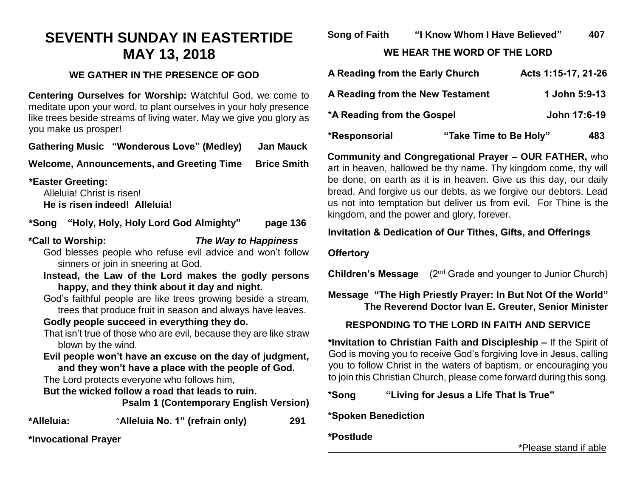# **SEVENTH SUNDAY IN EASTERTIDE MAY 13, 2018**

## **WE GATHER IN THE PRESENCE OF GOD**

**Centering Ourselves for Worship:** Watchful God, we come to meditate upon your word, to plant ourselves in your holy presence like trees beside streams of living water. May we give you glory as you make us prosper!

**Gathering Music "Wonderous Love" (Medley) Jan Mauck**

**Welcome, Announcements, and Greeting Time Brice Smith**

**\*Easter Greeting:** 

Alleluia! Christ is risen! **He is risen indeed! Alleluia!**

**\*Song "Holy, Holy, Holy Lord God Almighty" page 136** 

## **\*Call to Worship:** *The Way to Happiness*

God blesses people who refuse evil advice and won't follow sinners or join in sneering at God.

**Instead, the Law of the Lord makes the godly persons happy, and they think about it day and night.**

God's faithful people are like trees growing beside a stream, trees that produce fruit in season and always have leaves.

## **Godly people succeed in everything they do.**

That isn't true of those who are evil, because they are like straw blown by the wind.

**Evil people won't have an excuse on the day of judgment, and they won't have a place with the people of God.**

The Lord protects everyone who follows him,

**But the wicked follow a road that leads to ruin.**

**Psalm 1 (Contemporary English Version)**

**\*Alleluia:** "**Alleluia No. 1" (refrain only) 291**

**\*Invocational Prayer**

**Song of Faith "I Know Whom I Have Believed" 407**

**WE HEAR THE WORD OF THE LORD**

| A Reading from the Early Church  |                        | Acts 1:15-17, 21-26 |
|----------------------------------|------------------------|---------------------|
| A Reading from the New Testament |                        | 1 John 5:9-13       |
| *A Reading from the Gospel       |                        | John 17:6-19        |
| *Responsorial                    | "Take Time to Be Holy" | 483                 |

**Community and Congregational Prayer – OUR FATHER,** who art in heaven, hallowed be thy name. Thy kingdom come, thy will be done, on earth as it is in heaven. Give us this day, our daily bread. And forgive us our debts, as we forgive our debtors. Lead us not into temptation but deliver us from evil. For Thine is the kingdom, and the power and glory, forever.

# **Invitation & Dedication of Our Tithes, Gifts, and Offerings**

#### **Offertory**

**Children's Message** (2<sup>nd</sup> Grade and younger to Junior Church)

# **Message "The High Priestly Prayer: In But Not Of the World" The Reverend Doctor Ivan E. Greuter, Senior Minister**

# **RESPONDING TO THE LORD IN FAITH AND SERVICE**

**\*Invitation to Christian Faith and Discipleship –** If the Spirit of God is moving you to receive God's forgiving love in Jesus, calling you to follow Christ in the waters of baptism, or encouraging you to join this Christian Church, please come forward during this song.

## **\*Song "Living for Jesus a Life That Is True"**

# **\*Spoken Benediction**

# **\*Postlude**

\*Please stand if able